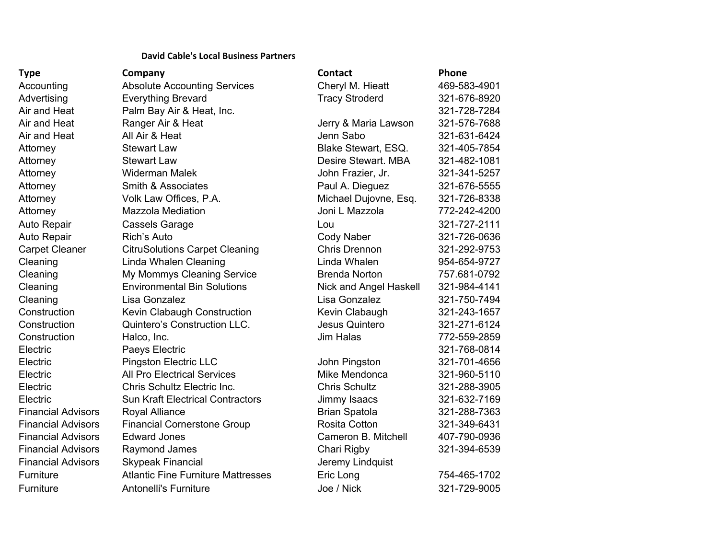## **David Cable's Local Business Partners**

| <b>Type</b>               | Company                                   | <b>Contact</b>         | Phone        |
|---------------------------|-------------------------------------------|------------------------|--------------|
| Accounting                | <b>Absolute Accounting Services</b>       | Cheryl M. Hieatt       | 469-583-4901 |
| Advertising               | <b>Everything Brevard</b>                 | <b>Tracy Stroderd</b>  | 321-676-8920 |
| Air and Heat              | Palm Bay Air & Heat, Inc.                 |                        | 321-728-7284 |
| Air and Heat              | Ranger Air & Heat                         | Jerry & Maria Lawson   | 321-576-7688 |
| Air and Heat              | All Air & Heat                            | Jenn Sabo              | 321-631-6424 |
| Attorney                  | <b>Stewart Law</b>                        | Blake Stewart, ESQ.    | 321-405-7854 |
| Attorney                  | <b>Stewart Law</b>                        | Desire Stewart, MBA    | 321-482-1081 |
| Attorney                  | <b>Widerman Malek</b>                     | John Frazier, Jr.      | 321-341-5257 |
| Attorney                  | Smith & Associates                        | Paul A. Dieguez        | 321-676-5555 |
| Attorney                  | Volk Law Offices, P.A.                    | Michael Dujovne, Esq.  | 321-726-8338 |
| Attorney                  | <b>Mazzola Mediation</b>                  | Joni L Mazzola         | 772-242-4200 |
| Auto Repair               | <b>Cassels Garage</b>                     | Lou                    | 321-727-2111 |
| Auto Repair               | Rich's Auto                               | <b>Cody Naber</b>      | 321-726-0636 |
| <b>Carpet Cleaner</b>     | <b>CitruSolutions Carpet Cleaning</b>     | <b>Chris Drennon</b>   | 321-292-9753 |
| Cleaning                  | <b>Linda Whalen Cleaning</b>              | Linda Whalen           | 954-654-9727 |
| Cleaning                  | My Mommys Cleaning Service                | <b>Brenda Norton</b>   | 757.681-0792 |
| Cleaning                  | <b>Environmental Bin Solutions</b>        | Nick and Angel Haskell | 321-984-4141 |
| Cleaning                  | Lisa Gonzalez                             | Lisa Gonzalez          | 321-750-7494 |
| Construction              | Kevin Clabaugh Construction               | Kevin Clabaugh         | 321-243-1657 |
| Construction              | Quintero's Construction LLC.              | Jesus Quintero         | 321-271-6124 |
| Construction              | Halco, Inc.                               | <b>Jim Halas</b>       | 772-559-2859 |
| Electric                  | Paeys Electric                            |                        | 321-768-0814 |
| Electric                  | <b>Pingston Electric LLC</b>              | John Pingston          | 321-701-4656 |
| Electric                  | <b>All Pro Electrical Services</b>        | Mike Mendonca          | 321-960-5110 |
| Electric                  | Chris Schultz Electric Inc.               | <b>Chris Schultz</b>   | 321-288-3905 |
| Electric                  | <b>Sun Kraft Electrical Contractors</b>   | Jimmy Isaacs           | 321-632-7169 |
| <b>Financial Advisors</b> | Royal Alliance                            | <b>Brian Spatola</b>   | 321-288-7363 |
| <b>Financial Advisors</b> | <b>Financial Cornerstone Group</b>        | Rosita Cotton          | 321-349-6431 |
| <b>Financial Advisors</b> | <b>Edward Jones</b>                       | Cameron B. Mitchell    | 407-790-0936 |
| <b>Financial Advisors</b> | Raymond James                             | Chari Rigby            | 321-394-6539 |
| <b>Financial Advisors</b> | <b>Skypeak Financial</b>                  | Jeremy Lindquist       |              |
| Furniture                 | <b>Atlantic Fine Furniture Mattresses</b> | Eric Long              | 754-465-1702 |
| Furniture                 | <b>Antonelli's Furniture</b>              | Joe / Nick             | 321-729-9005 |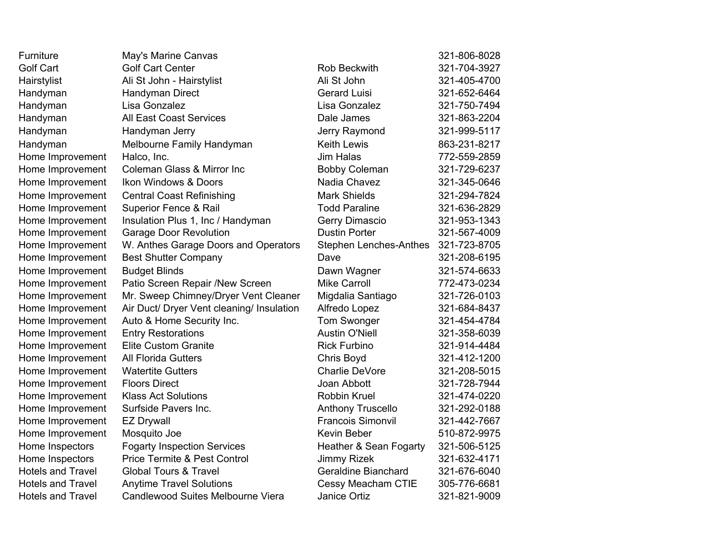| Furniture                | May's Marine Canvas                       |                               | 321-806-8028 |
|--------------------------|-------------------------------------------|-------------------------------|--------------|
| <b>Golf Cart</b>         | <b>Golf Cart Center</b>                   | <b>Rob Beckwith</b>           | 321-704-3927 |
| Hairstylist              | Ali St John - Hairstylist                 | Ali St John                   | 321-405-4700 |
| Handyman                 | Handyman Direct                           | <b>Gerard Luisi</b>           | 321-652-6464 |
| Handyman                 | Lisa Gonzalez                             | Lisa Gonzalez                 | 321-750-7494 |
| Handyman                 | <b>All East Coast Services</b>            | Dale James                    | 321-863-2204 |
| Handyman                 | Handyman Jerry                            | Jerry Raymond                 | 321-999-5117 |
| Handyman                 | Melbourne Family Handyman                 | <b>Keith Lewis</b>            | 863-231-8217 |
| Home Improvement         | Halco, Inc.                               | <b>Jim Halas</b>              | 772-559-2859 |
| Home Improvement         | <b>Coleman Glass &amp; Mirror Inc</b>     | <b>Bobby Coleman</b>          | 321-729-6237 |
| Home Improvement         | Ikon Windows & Doors                      | Nadia Chavez                  | 321-345-0646 |
| Home Improvement         | <b>Central Coast Refinishing</b>          | <b>Mark Shields</b>           | 321-294-7824 |
| Home Improvement         | Superior Fence & Rail                     | <b>Todd Paraline</b>          | 321-636-2829 |
| Home Improvement         | Insulation Plus 1, Inc / Handyman         | Gerry Dimascio                | 321-953-1343 |
| Home Improvement         | <b>Garage Door Revolution</b>             | <b>Dustin Porter</b>          | 321-567-4009 |
| Home Improvement         | W. Anthes Garage Doors and Operators      | <b>Stephen Lenches-Anthes</b> | 321-723-8705 |
| Home Improvement         | <b>Best Shutter Company</b>               | Dave                          | 321-208-6195 |
| Home Improvement         | <b>Budget Blinds</b>                      | Dawn Wagner                   | 321-574-6633 |
| Home Improvement         | Patio Screen Repair /New Screen           | <b>Mike Carroll</b>           | 772-473-0234 |
| Home Improvement         | Mr. Sweep Chimney/Dryer Vent Cleaner      | Migdalia Santiago             | 321-726-0103 |
| Home Improvement         | Air Duct/ Dryer Vent cleaning/ Insulation | Alfredo Lopez                 | 321-684-8437 |
| Home Improvement         | Auto & Home Security Inc.                 | Tom Swonger                   | 321-454-4784 |
| Home Improvement         | <b>Entry Restorations</b>                 | <b>Austin O'Niell</b>         | 321-358-6039 |
| Home Improvement         | <b>Elite Custom Granite</b>               | <b>Rick Furbino</b>           | 321-914-4484 |
| Home Improvement         | <b>All Florida Gutters</b>                | Chris Boyd                    | 321-412-1200 |
| Home Improvement         | <b>Watertite Gutters</b>                  | <b>Charlie DeVore</b>         | 321-208-5015 |
| Home Improvement         | <b>Floors Direct</b>                      | Joan Abbott                   | 321-728-7944 |
| Home Improvement         | <b>Klass Act Solutions</b>                | <b>Robbin Kruel</b>           | 321-474-0220 |
| Home Improvement         | Surfside Pavers Inc.                      | <b>Anthony Truscello</b>      | 321-292-0188 |
| Home Improvement         | <b>EZ Drywall</b>                         | <b>Francois Simonvil</b>      | 321-442-7667 |
| Home Improvement         | Mosquito Joe                              | Kevin Beber                   | 510-872-9975 |
| Home Inspectors          | <b>Fogarty Inspection Services</b>        | Heather & Sean Fogarty        | 321-506-5125 |
| Home Inspectors          | <b>Price Termite &amp; Pest Control</b>   | <b>Jimmy Rizek</b>            | 321-632-4171 |
| <b>Hotels and Travel</b> | <b>Global Tours &amp; Travel</b>          | <b>Geraldine Bianchard</b>    | 321-676-6040 |
| <b>Hotels and Travel</b> | <b>Anytime Travel Solutions</b>           | Cessy Meacham CTIE            | 305-776-6681 |
| <b>Hotels and Travel</b> | Candlewood Suites Melbourne Viera         | <b>Janice Ortiz</b>           | 321-821-9009 |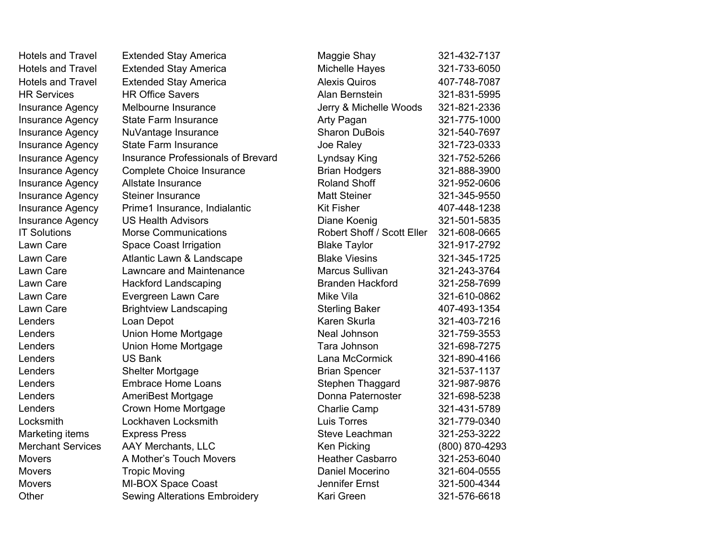| <b>Hotels and Travel</b> | <b>Extended Stay America</b>                         | Maggie Shay                           | 321-432-7137                 |
|--------------------------|------------------------------------------------------|---------------------------------------|------------------------------|
| <b>Hotels and Travel</b> | <b>Extended Stay America</b>                         | Michelle Hayes                        | 321-733-6050                 |
| <b>Hotels and Travel</b> | <b>Extended Stay America</b>                         | <b>Alexis Quiros</b>                  | 407-748-7087                 |
| <b>HR Services</b>       | <b>HR Office Savers</b>                              | Alan Bernstein                        | 321-831-5995                 |
| <b>Insurance Agency</b>  | Melbourne Insurance                                  | Jerry & Michelle Woods                | 321-821-2336                 |
| <b>Insurance Agency</b>  | <b>State Farm Insurance</b>                          | Arty Pagan                            | 321-775-1000                 |
| <b>Insurance Agency</b>  | NuVantage Insurance                                  | <b>Sharon DuBois</b>                  | 321-540-7697                 |
| Insurance Agency         | <b>State Farm Insurance</b>                          | Joe Raley                             | 321-723-0333                 |
| Insurance Agency         | <b>Insurance Professionals of Brevard</b>            | Lyndsay King                          | 321-752-5266                 |
| Insurance Agency         | <b>Complete Choice Insurance</b>                     | <b>Brian Hodgers</b>                  | 321-888-3900                 |
| Insurance Agency         | Allstate Insurance                                   | <b>Roland Shoff</b>                   | 321-952-0606                 |
| <b>Insurance Agency</b>  | <b>Steiner Insurance</b>                             | <b>Matt Steiner</b>                   | 321-345-9550                 |
| Insurance Agency         | Prime1 Insurance, Indialantic                        | <b>Kit Fisher</b>                     | 407-448-1238                 |
| Insurance Agency         | <b>US Health Advisors</b>                            | Diane Koenig                          | 321-501-5835                 |
| <b>IT Solutions</b>      | <b>Morse Communications</b>                          | Robert Shoff / Scott Eller            | 321-608-0665                 |
| Lawn Care                | <b>Space Coast Irrigation</b>                        | <b>Blake Taylor</b>                   | 321-917-2792                 |
| Lawn Care                | Atlantic Lawn & Landscape                            | <b>Blake Viesins</b>                  | 321-345-1725                 |
| Lawn Care                | Lawncare and Maintenance                             | Marcus Sullivan                       | 321-243-3764                 |
| Lawn Care                | <b>Hackford Landscaping</b>                          | <b>Branden Hackford</b>               | 321-258-7699                 |
| Lawn Care                |                                                      | Mike Vila                             | 321-610-0862                 |
| Lawn Care                | Evergreen Lawn Care                                  |                                       | 407-493-1354                 |
| Lenders                  | <b>Brightview Landscaping</b>                        | <b>Sterling Baker</b><br>Karen Skurla | 321-403-7216                 |
| Lenders                  | Loan Depot                                           | Neal Johnson                          |                              |
| Lenders                  | Union Home Mortgage                                  | Tara Johnson                          | 321-759-3553<br>321-698-7275 |
| Lenders                  | Union Home Mortgage<br><b>US Bank</b>                | Lana McCormick                        |                              |
| Lenders                  |                                                      |                                       | 321-890-4166                 |
|                          | <b>Shelter Mortgage</b><br><b>Embrace Home Loans</b> | <b>Brian Spencer</b>                  | 321-537-1137                 |
| Lenders                  |                                                      | Stephen Thaggard                      | 321-987-9876                 |
| Lenders                  | AmeriBest Mortgage                                   | Donna Paternoster                     | 321-698-5238                 |
| Lenders                  | Crown Home Mortgage                                  | Charlie Camp                          | 321-431-5789                 |
| Locksmith                | Lockhaven Locksmith                                  | <b>Luis Torres</b>                    | 321-779-0340                 |
| Marketing items          | <b>Express Press</b>                                 | Steve Leachman                        | 321-253-3222                 |
| <b>Merchant Services</b> | <b>AAY Merchants, LLC</b>                            | Ken Picking                           | (800) 870-4293               |
| <b>Movers</b>            | A Mother's Touch Movers                              | <b>Heather Casbarro</b>               | 321-253-6040                 |
| <b>Movers</b>            | <b>Tropic Moving</b>                                 | Daniel Mocerino                       | 321-604-0555                 |
| <b>Movers</b>            | MI-BOX Space Coast                                   | <b>Jennifer Ernst</b>                 | 321-500-4344                 |
| Other                    | Sewing Alterations Embroiderv                        | Kari Green                            | 321-576-6618                 |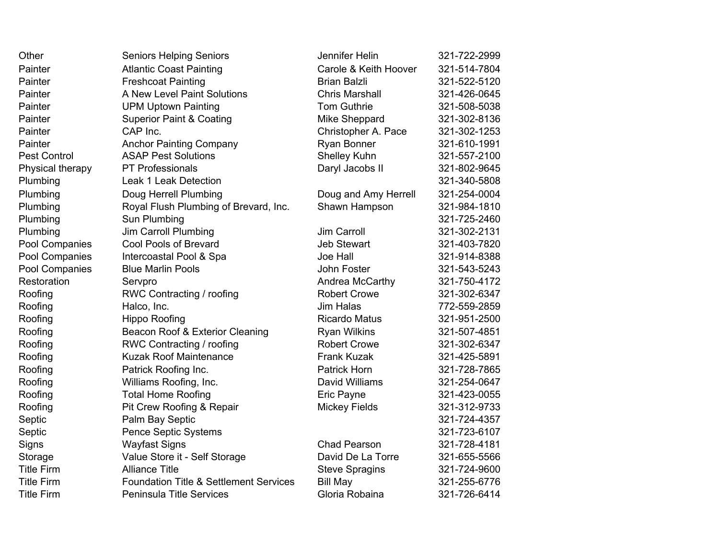| Other               | <b>Seniors Helping Seniors</b>                    | Jennifer Helin        | 321-722-2999 |
|---------------------|---------------------------------------------------|-----------------------|--------------|
| Painter             | <b>Atlantic Coast Painting</b>                    | Carole & Keith Hoover | 321-514-7804 |
| Painter             | <b>Freshcoat Painting</b>                         | <b>Brian Balzli</b>   | 321-522-5120 |
| Painter             | A New Level Paint Solutions                       | <b>Chris Marshall</b> | 321-426-0645 |
| Painter             | <b>UPM Uptown Painting</b>                        | <b>Tom Guthrie</b>    | 321-508-5038 |
| Painter             | <b>Superior Paint &amp; Coating</b>               | <b>Mike Sheppard</b>  | 321-302-8136 |
| Painter             | CAP Inc.                                          | Christopher A. Pace   | 321-302-1253 |
| Painter             | <b>Anchor Painting Company</b>                    | Ryan Bonner           | 321-610-1991 |
| <b>Pest Control</b> | <b>ASAP Pest Solutions</b>                        | <b>Shelley Kuhn</b>   | 321-557-2100 |
| Physical therapy    | <b>PT Professionals</b>                           | Daryl Jacobs II       | 321-802-9645 |
| Plumbing            | <b>Leak 1 Leak Detection</b>                      |                       | 321-340-5808 |
| Plumbing            | Doug Herrell Plumbing                             | Doug and Amy Herrell  | 321-254-0004 |
| Plumbing            | Royal Flush Plumbing of Brevard, Inc.             | Shawn Hampson         | 321-984-1810 |
| Plumbing            | Sun Plumbing                                      |                       | 321-725-2460 |
| Plumbing            | <b>Jim Carroll Plumbing</b>                       | <b>Jim Carroll</b>    | 321-302-2131 |
| Pool Companies      | <b>Cool Pools of Brevard</b>                      | <b>Jeb Stewart</b>    | 321-403-7820 |
| Pool Companies      | Intercoastal Pool & Spa                           | <b>Joe Hall</b>       | 321-914-8388 |
| Pool Companies      | <b>Blue Marlin Pools</b>                          | John Foster           | 321-543-5243 |
| Restoration         | Servpro                                           | Andrea McCarthy       | 321-750-4172 |
| Roofing             | RWC Contracting / roofing                         | <b>Robert Crowe</b>   | 321-302-6347 |
| Roofing             | Halco, Inc.                                       | <b>Jim Halas</b>      | 772-559-2859 |
| Roofing             | <b>Hippo Roofing</b>                              | <b>Ricardo Matus</b>  | 321-951-2500 |
| Roofing             | Beacon Roof & Exterior Cleaning                   | <b>Ryan Wilkins</b>   | 321-507-4851 |
| Roofing             | RWC Contracting / roofing                         | <b>Robert Crowe</b>   | 321-302-6347 |
| Roofing             | <b>Kuzak Roof Maintenance</b>                     | <b>Frank Kuzak</b>    | 321-425-5891 |
| Roofing             | Patrick Roofing Inc.                              | <b>Patrick Horn</b>   | 321-728-7865 |
| Roofing             | Williams Roofing, Inc.                            | David Williams        | 321-254-0647 |
| Roofing             | <b>Total Home Roofing</b>                         | Eric Payne            | 321-423-0055 |
| Roofing             | Pit Crew Roofing & Repair                         | <b>Mickey Fields</b>  | 321-312-9733 |
| Septic              | Palm Bay Septic                                   |                       | 321-724-4357 |
| Septic              | Pence Septic Systems                              |                       | 321-723-6107 |
| Signs               | <b>Wayfast Signs</b>                              | <b>Chad Pearson</b>   | 321-728-4181 |
| Storage             | Value Store it - Self Storage                     | David De La Torre     | 321-655-5566 |
| <b>Title Firm</b>   | <b>Alliance Title</b>                             | <b>Steve Spragins</b> | 321-724-9600 |
| <b>Title Firm</b>   | <b>Foundation Title &amp; Settlement Services</b> | <b>Bill May</b>       | 321-255-6776 |
| <b>Title Firm</b>   | <b>Peninsula Title Services</b>                   | Gloria Robaina        | 321-726-6414 |
|                     |                                                   |                       |              |